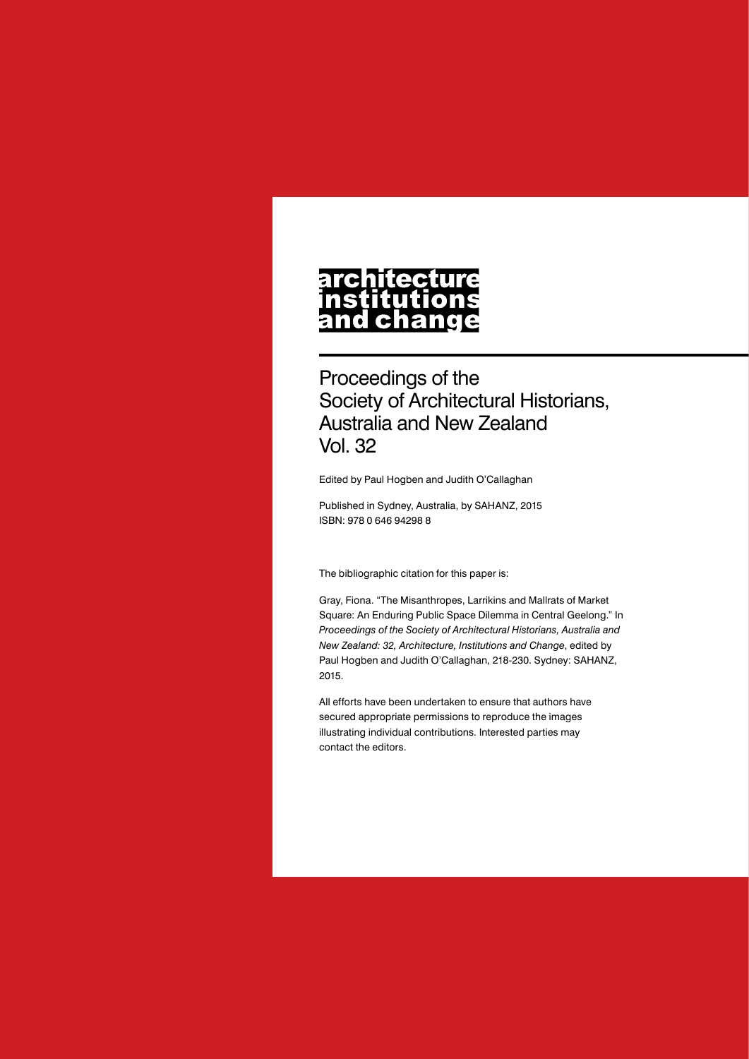# architecture nstitutions<br>and change

Proceedings of the Society of Architectural Historians, Australia and New Zealand Vol. 32

Edited by Paul Hogben and Judith O'Callaghan

Published in Sydney, Australia, by SAHANZ, 2015 ISBN: 978 0 646 94298 8

The bibliographic citation for this paper is:

Gray, Fiona. "The Misanthropes, Larrikins and Mallrats of Market Square: An Enduring Public Space Dilemma in Central Geelong." In *Proceedings of the Society of Architectural Historians, Australia and New Zealand: 32, Architecture, Institutions and Change*, edited by Paul Hogben and Judith O'Callaghan, 218-230. Sydney: SAHANZ, 2015.

All efforts have been undertaken to ensure that authors have secured appropriate permissions to reproduce the images illustrating individual contributions. Interested parties may contact the editors.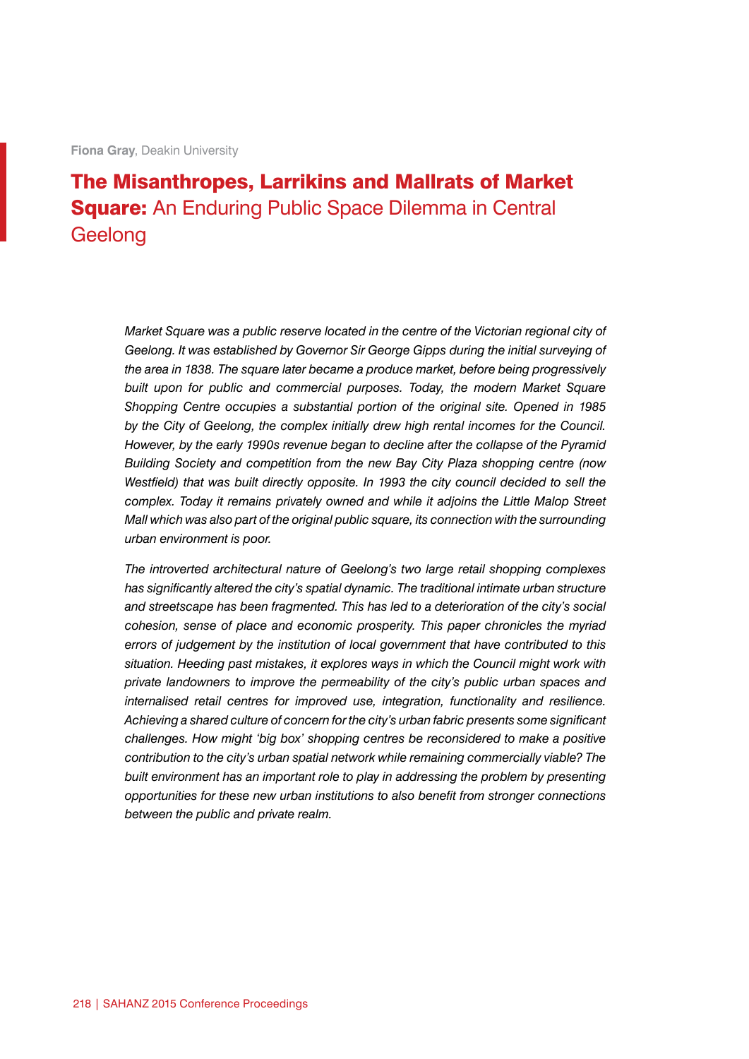**Fiona Gray**, Deakin University

## The Misanthropes, Larrikins and Mallrats of Market **Square:** An Enduring Public Space Dilemma in Central **Geelong**

*Market Square was a public reserve located in the centre of the Victorian regional city of Geelong. It was established by Governor Sir George Gipps during the initial surveying of the area in 1838. The square later became a produce market, before being progressively built upon for public and commercial purposes. Today, the modern Market Square Shopping Centre occupies a substantial portion of the original site. Opened in 1985 by the City of Geelong, the complex initially drew high rental incomes for the Council. However, by the early 1990s revenue began to decline after the collapse of the Pyramid Building Society and competition from the new Bay City Plaza shopping centre (now Westfield) that was built directly opposite. In 1993 the city council decided to sell the complex. Today it remains privately owned and while it adjoins the Little Malop Street Mall which was also part of the original public square, its connection with the surrounding urban environment is poor.*

*The introverted architectural nature of Geelong's two large retail shopping complexes has significantly altered the city's spatial dynamic. The traditional intimate urban structure and streetscape has been fragmented. This has led to a deterioration of the city's social cohesion, sense of place and economic prosperity. This paper chronicles the myriad errors of judgement by the institution of local government that have contributed to this situation. Heeding past mistakes, it explores ways in which the Council might work with private landowners to improve the permeability of the city's public urban spaces and internalised retail centres for improved use, integration, functionality and resilience. Achieving a shared culture of concern for the city's urban fabric presents some significant challenges. How might 'big box' shopping centres be reconsidered to make a positive contribution to the city's urban spatial network while remaining commercially viable? The built environment has an important role to play in addressing the problem by presenting opportunities for these new urban institutions to also benefit from stronger connections between the public and private realm.*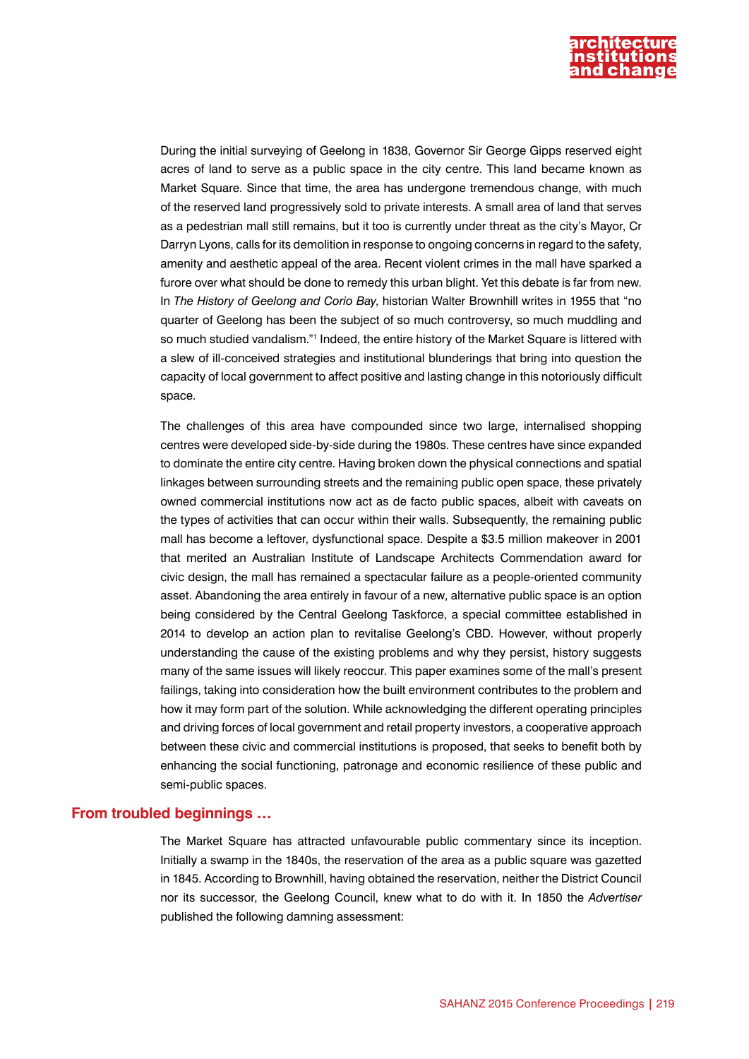

During the initial surveying of Geelong in 1838, Governor Sir George Gipps reserved eight acres of land to serve as a public space in the city centre. This land became known as Market Square. Since that time, the area has undergone tremendous change, with much of the reserved land progressively sold to private interests. A small area of land that serves as a pedestrian mall still remains, but it too is currently under threat as the city's Mayor, Cr Darryn Lyons, calls for its demolition in response to ongoing concerns in regard to the safety, amenity and aesthetic appeal of the area. Recent violent crimes in the mall have sparked a furore over what should be done to remedy this urban blight. Yet this debate is far from new. In *The History of Geelong and Corio Bay*, historian Walter Brownhill writes in 1955 that "no quarter of Geelong has been the subject of so much controversy, so much muddling and so much studied vandalism."1 Indeed, the entire history of the Market Square is littered with a slew of ill-conceived strategies and institutional blunderings that bring into question the capacity of local government to affect positive and lasting change in this notoriously difficult space.

The challenges of this area have compounded since two large, internalised shopping centres were developed side-by-side during the 1980s. These centres have since expanded to dominate the entire city centre. Having broken down the physical connections and spatial linkages between surrounding streets and the remaining public open space, these privately owned commercial institutions now act as de facto public spaces, albeit with caveats on the types of activities that can occur within their walls. Subsequently, the remaining public mall has become a leftover, dysfunctional space. Despite a \$3.5 million makeover in 2001 that merited an Australian Institute of Landscape Architects Commendation award for civic design, the mall has remained a spectacular failure as a people-oriented community asset. Abandoning the area entirely in favour of a new, alternative public space is an option being considered by the Central Geelong Taskforce, a special committee established in 2014 to develop an action plan to revitalise Geelong's CBD. However, without properly understanding the cause of the existing problems and why they persist, history suggests many of the same issues will likely reoccur. This paper examines some of the mall's present failings, taking into consideration how the built environment contributes to the problem and how it may form part of the solution. While acknowledging the different operating principles and driving forces of local government and retail property investors, a cooperative approach between these civic and commercial institutions is proposed, that seeks to benefit both by enhancing the social functioning, patronage and economic resilience of these public and semi-public spaces.

#### **From troubled beginnings …**

The Market Square has attracted unfavourable public commentary since its inception. Initially a swamp in the 1840s, the reservation of the area as a public square was gazetted in 1845. According to Brownhill, having obtained the reservation, neither the District Council nor its successor, the Geelong Council, knew what to do with it. In 1850 the *Advertiser*  published the following damning assessment: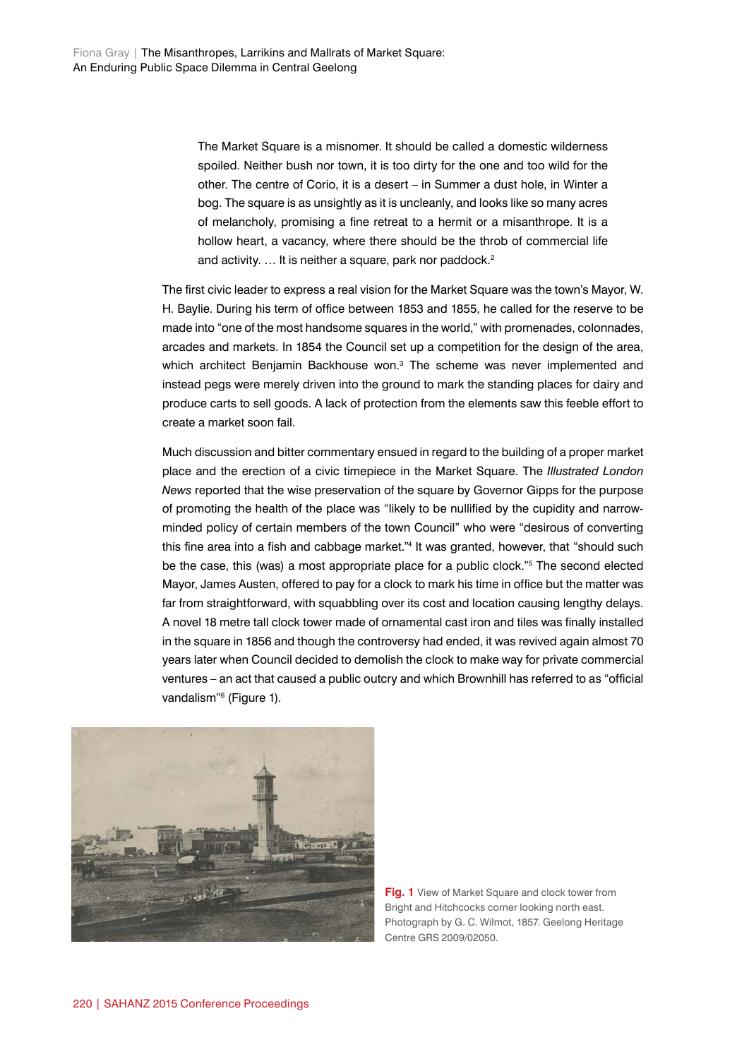The Market Square is a misnomer. It should be called a domestic wilderness spoiled. Neither bush nor town, it is too dirty for the one and too wild for the other. The centre of Corio, it is a desert – in Summer a dust hole, in Winter a bog. The square is as unsightly as it is uncleanly, and looks like so many acres of melancholy, promising a fine retreat to a hermit or a misanthrope. It is a hollow heart, a vacancy, where there should be the throb of commercial life and activity. ... It is neither a square, park nor paddock.<sup>2</sup>

The first civic leader to express a real vision for the Market Square was the town's Mayor, W. H. Baylie. During his term of office between 1853 and 1855, he called for the reserve to be made into "one of the most handsome squares in the world," with promenades, colonnades, arcades and markets. In 1854 the Council set up a competition for the design of the area, which architect Benjamin Backhouse won.<sup>3</sup> The scheme was never implemented and instead pegs were merely driven into the ground to mark the standing places for dairy and produce carts to sell goods. A lack of protection from the elements saw this feeble effort to create a market soon fail.

Much discussion and bitter commentary ensued in regard to the building of a proper market place and the erection of a civic timepiece in the Market Square. The *Illustrated London News* reported that the wise preservation of the square by Governor Gipps for the purpose of promoting the health of the place was "likely to be nullified by the cupidity and narrowminded policy of certain members of the town Council" who were "desirous of converting this fine area into a fish and cabbage market."<sup>4</sup> It was granted, however, that "should such be the case, this (was) a most appropriate place for a public clock."5 The second elected Mayor, James Austen, offered to pay for a clock to mark his time in office but the matter was far from straightforward, with squabbling over its cost and location causing lengthy delays. A novel 18 metre tall clock tower made of ornamental cast iron and tiles was finally installed in the square in 1856 and though the controversy had ended, it was revived again almost 70 years later when Council decided to demolish the clock to make way for private commercial ventures – an act that caused a public outcry and which Brownhill has referred to as "official vandalism"<sup>6</sup> (Figure 1).



**Fig. 1** View of Market Square and clock tower from Bright and Hitchcocks corner looking north east. Photograph by G. C. Wilmot, 1857. Geelong Heritage Centre GRS 2009/02050.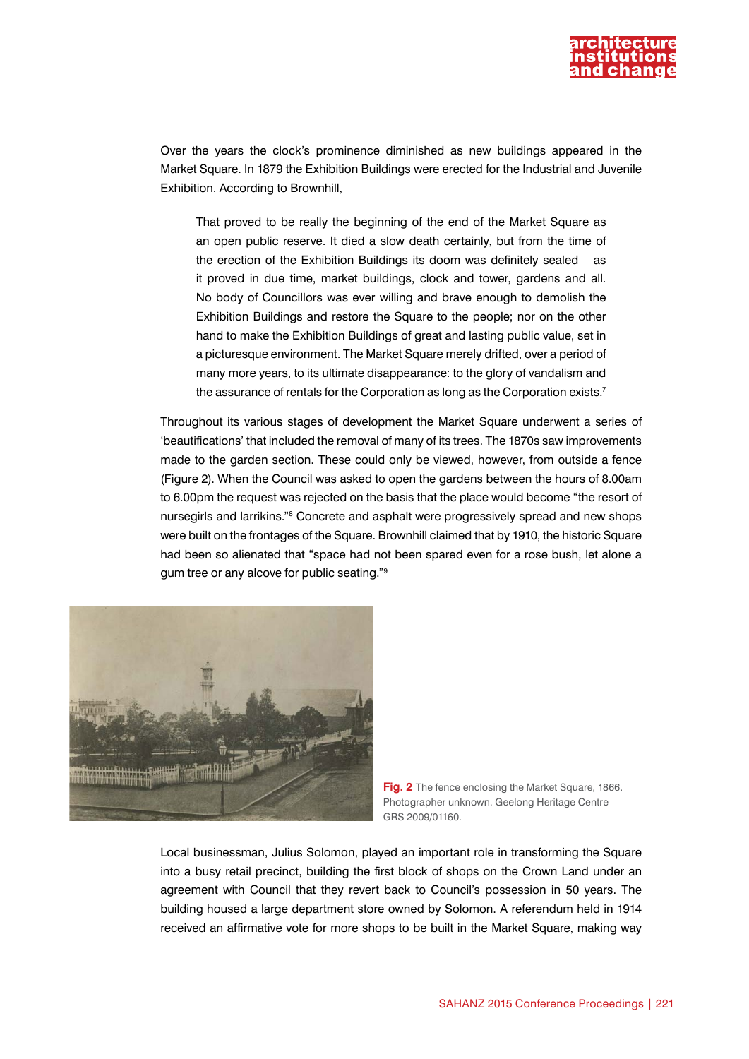

Over the years the clock's prominence diminished as new buildings appeared in the Market Square. In 1879 the Exhibition Buildings were erected for the Industrial and Juvenile Exhibition. According to Brownhill,

That proved to be really the beginning of the end of the Market Square as an open public reserve. It died a slow death certainly, but from the time of the erection of the Exhibition Buildings its doom was definitely sealed – as it proved in due time, market buildings, clock and tower, gardens and all. No body of Councillors was ever willing and brave enough to demolish the Exhibition Buildings and restore the Square to the people; nor on the other hand to make the Exhibition Buildings of great and lasting public value, set in a picturesque environment. The Market Square merely drifted, over a period of many more years, to its ultimate disappearance: to the glory of vandalism and the assurance of rentals for the Corporation as long as the Corporation exists.<sup>7</sup>

Throughout its various stages of development the Market Square underwent a series of 'beautifications' that included the removal of many of its trees. The 1870s saw improvements made to the garden section. These could only be viewed, however, from outside a fence (Figure 2). When the Council was asked to open the gardens between the hours of 8.00am to 6.00pm the request was rejected on the basis that the place would become "the resort of nursegirls and larrikins."<sup>8</sup> Concrete and asphalt were progressively spread and new shops were built on the frontages of the Square. Brownhill claimed that by 1910, the historic Square had been so alienated that "space had not been spared even for a rose bush, let alone a gum tree or any alcove for public seating."9



**Fig. 2** The fence enclosing the Market Square, 1866. Photographer unknown. Geelong Heritage Centre GRS 2009/01160.

Local businessman, Julius Solomon, played an important role in transforming the Square into a busy retail precinct, building the first block of shops on the Crown Land under an agreement with Council that they revert back to Council's possession in 50 years. The building housed a large department store owned by Solomon. A referendum held in 1914 received an affirmative vote for more shops to be built in the Market Square, making way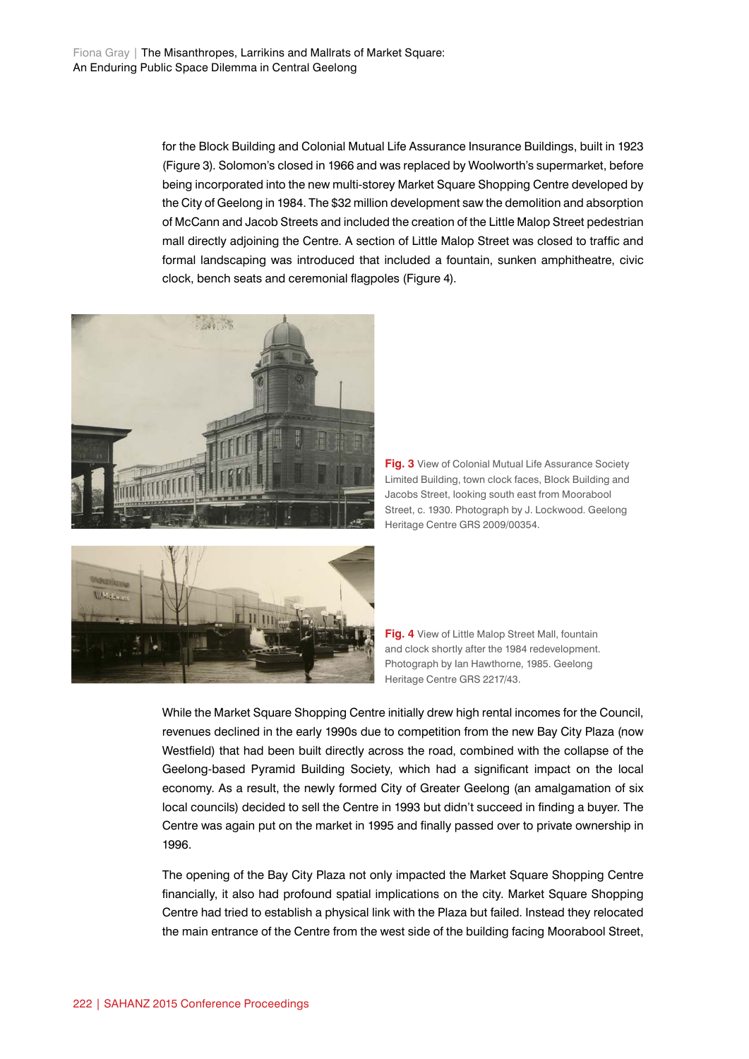for the Block Building and Colonial Mutual Life Assurance Insurance Buildings, built in 1923 (Figure 3). Solomon's closed in 1966 and was replaced by Woolworth's supermarket, before being incorporated into the new multi-storey Market Square Shopping Centre developed by the City of Geelong in 1984. The \$32 million development saw the demolition and absorption of McCann and Jacob Streets and included the creation of the Little Malop Street pedestrian mall directly adjoining the Centre. A section of Little Malop Street was closed to traffic and formal landscaping was introduced that included a fountain, sunken amphitheatre, civic clock, bench seats and ceremonial flagpoles (Figure 4).



**Fig. 3** View of Colonial Mutual Life Assurance Society Limited Building, town clock faces, Block Building and Jacobs Street, looking south east from Moorabool Street, c. 1930. Photograph by J. Lockwood. Geelong Heritage Centre GRS 2009/00354.



**Fig. 4** View of Little Malop Street Mall, fountain and clock shortly after the 1984 redevelopment. Photograph by Ian Hawthorne, 1985. Geelong Heritage Centre GRS 2217/43.

While the Market Square Shopping Centre initially drew high rental incomes for the Council, revenues declined in the early 1990s due to competition from the new Bay City Plaza (now Westfield) that had been built directly across the road, combined with the collapse of the Geelong-based Pyramid Building Society, which had a significant impact on the local economy. As a result, the newly formed City of Greater Geelong (an amalgamation of six local councils) decided to sell the Centre in 1993 but didn't succeed in finding a buyer. The Centre was again put on the market in 1995 and finally passed over to private ownership in 1996.

The opening of the Bay City Plaza not only impacted the Market Square Shopping Centre financially, it also had profound spatial implications on the city. Market Square Shopping Centre had tried to establish a physical link with the Plaza but failed. Instead they relocated the main entrance of the Centre from the west side of the building facing Moorabool Street,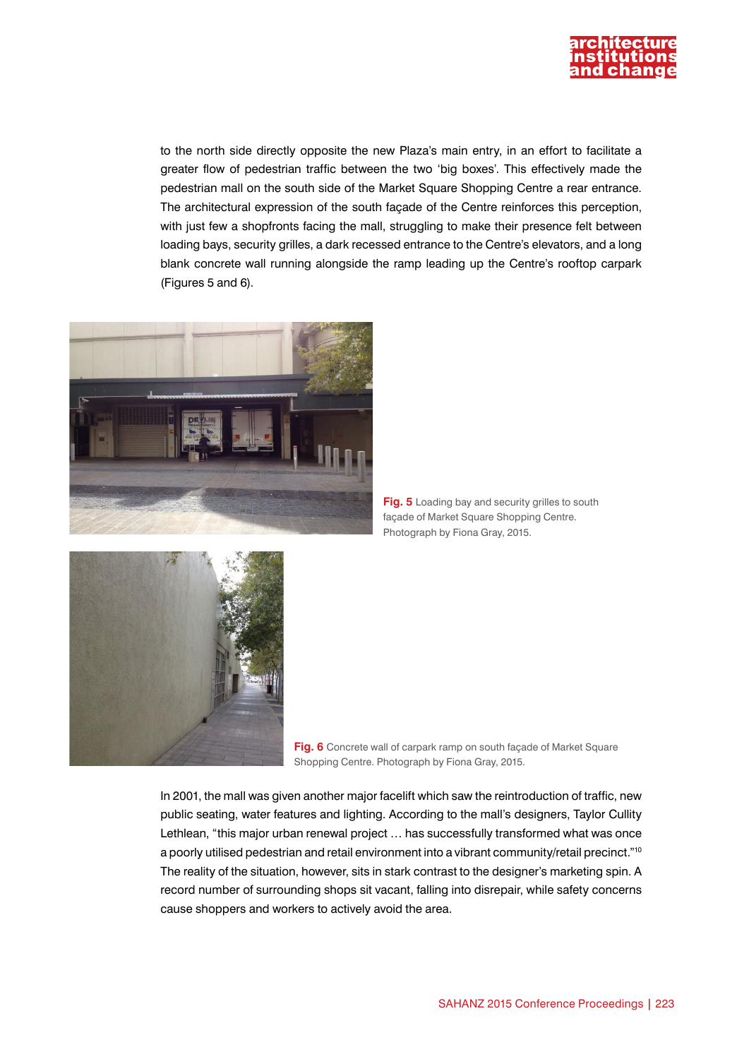

to the north side directly opposite the new Plaza's main entry, in an effort to facilitate a greater flow of pedestrian traffic between the two 'big boxes'. This effectively made the pedestrian mall on the south side of the Market Square Shopping Centre a rear entrance. The architectural expression of the south façade of the Centre reinforces this perception, with just few a shopfronts facing the mall, struggling to make their presence felt between loading bays, security grilles, a dark recessed entrance to the Centre's elevators, and a long blank concrete wall running alongside the ramp leading up the Centre's rooftop carpark (Figures 5 and 6).



**Fig. 5** Loading bay and security grilles to south façade of Market Square Shopping Centre. Photograph by Fiona Gray, 2015.



**Fig. 6** Concrete wall of carpark ramp on south façade of Market Square Shopping Centre. Photograph by Fiona Gray, 2015.

In 2001, the mall was given another major facelift which saw the reintroduction of traffic, new public seating, water features and lighting. According to the mall's designers, Taylor Cullity Lethlean, "this major urban renewal project … has successfully transformed what was once a poorly utilised pedestrian and retail environment into a vibrant community/retail precinct."10 The reality of the situation, however, sits in stark contrast to the designer's marketing spin. A record number of surrounding shops sit vacant, falling into disrepair, while safety concerns cause shoppers and workers to actively avoid the area.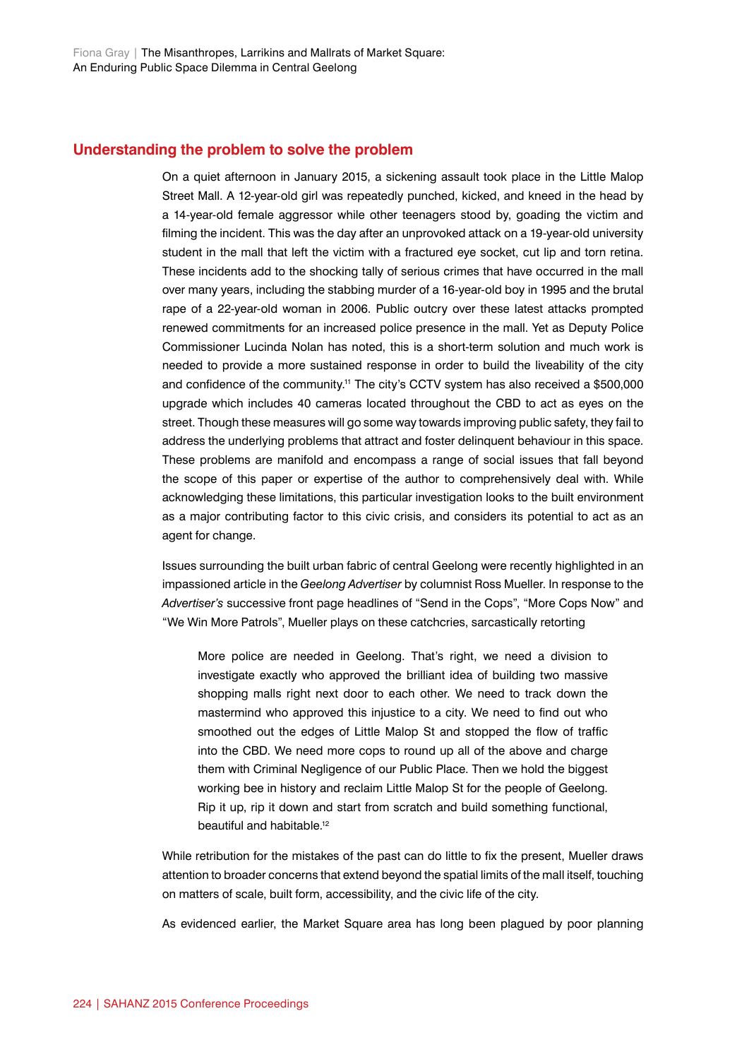### **Understanding the problem to solve the problem**

On a quiet afternoon in January 2015, a sickening assault took place in the Little Malop Street Mall. A 12-year-old girl was repeatedly punched, kicked, and kneed in the head by a 14-year-old female aggressor while other teenagers stood by, goading the victim and filming the incident. This was the day after an unprovoked attack on a 19-year-old university student in the mall that left the victim with a fractured eye socket, cut lip and torn retina. These incidents add to the shocking tally of serious crimes that have occurred in the mall over many years, including the stabbing murder of a 16-year-old boy in 1995 and the brutal rape of a 22-year-old woman in 2006. Public outcry over these latest attacks prompted renewed commitments for an increased police presence in the mall. Yet as Deputy Police Commissioner Lucinda Nolan has noted, this is a short-term solution and much work is needed to provide a more sustained response in order to build the liveability of the city and confidence of the community.<sup>11</sup> The city's CCTV system has also received a \$500,000 upgrade which includes 40 cameras located throughout the CBD to act as eyes on the street. Though these measures will go some way towards improving public safety, they fail to address the underlying problems that attract and foster delinquent behaviour in this space. These problems are manifold and encompass a range of social issues that fall beyond the scope of this paper or expertise of the author to comprehensively deal with. While acknowledging these limitations, this particular investigation looks to the built environment as a major contributing factor to this civic crisis, and considers its potential to act as an agent for change.

Issues surrounding the built urban fabric of central Geelong were recently highlighted in an impassioned article in the *Geelong Advertiser* by columnist Ross Mueller. In response to the *Advertiser's* successive front page headlines of "Send in the Cops", "More Cops Now" and "We Win More Patrols", Mueller plays on these catchcries, sarcastically retorting

More police are needed in Geelong. That's right, we need a division to investigate exactly who approved the brilliant idea of building two massive shopping malls right next door to each other. We need to track down the mastermind who approved this injustice to a city. We need to find out who smoothed out the edges of Little Malop St and stopped the flow of traffic into the CBD. We need more cops to round up all of the above and charge them with Criminal Negligence of our Public Place. Then we hold the biggest working bee in history and reclaim Little Malop St for the people of Geelong. Rip it up, rip it down and start from scratch and build something functional, beautiful and habitable.12

While retribution for the mistakes of the past can do little to fix the present, Mueller draws attention to broader concerns that extend beyond the spatial limits of the mall itself, touching on matters of scale, built form, accessibility, and the civic life of the city.

As evidenced earlier, the Market Square area has long been plagued by poor planning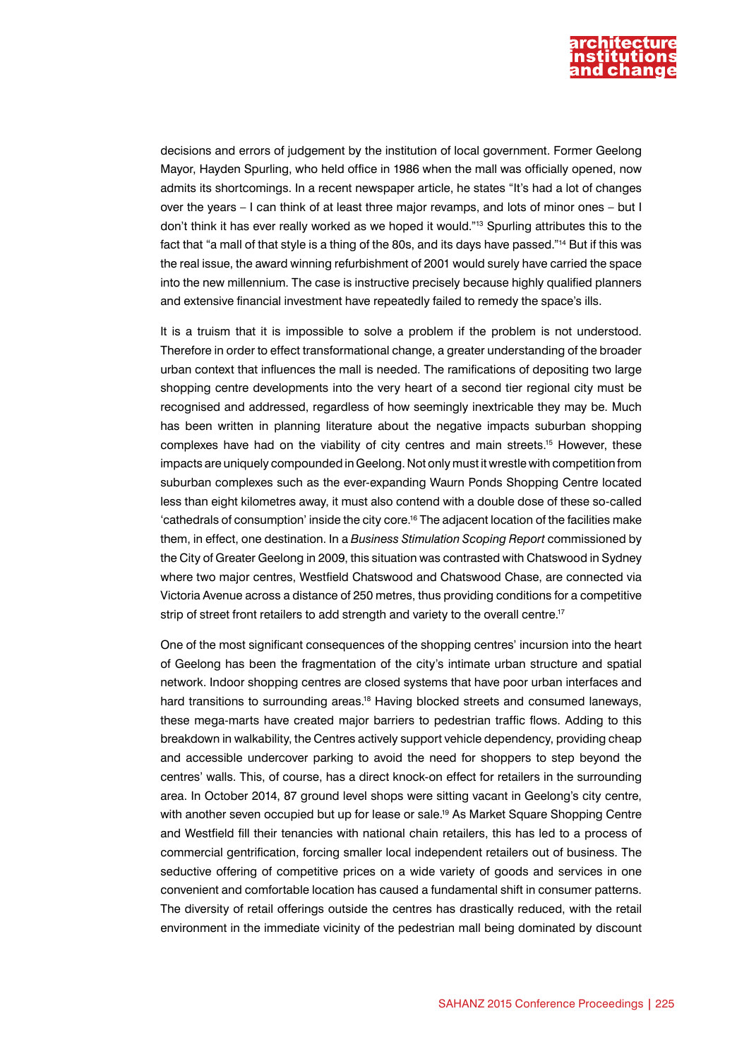

decisions and errors of judgement by the institution of local government. Former Geelong Mayor, Hayden Spurling, who held office in 1986 when the mall was officially opened, now admits its shortcomings. In a recent newspaper article, he states "It's had a lot of changes over the years – I can think of at least three major revamps, and lots of minor ones – but I don't think it has ever really worked as we hoped it would."13 Spurling attributes this to the fact that "a mall of that style is a thing of the 80s, and its days have passed."14 But if this was the real issue, the award winning refurbishment of 2001 would surely have carried the space into the new millennium. The case is instructive precisely because highly qualified planners and extensive financial investment have repeatedly failed to remedy the space's ills.

It is a truism that it is impossible to solve a problem if the problem is not understood. Therefore in order to effect transformational change, a greater understanding of the broader urban context that influences the mall is needed. The ramifications of depositing two large shopping centre developments into the very heart of a second tier regional city must be recognised and addressed, regardless of how seemingly inextricable they may be. Much has been written in planning literature about the negative impacts suburban shopping complexes have had on the viability of city centres and main streets.15 However, these impacts are uniquely compounded in Geelong. Not only must it wrestle with competition from suburban complexes such as the ever-expanding Waurn Ponds Shopping Centre located less than eight kilometres away, it must also contend with a double dose of these so-called 'cathedrals of consumption' inside the city core.16 The adjacent location of the facilities make them, in effect, one destination. In a *Business Stimulation Scoping Report* commissioned by the City of Greater Geelong in 2009, this situation was contrasted with Chatswood in Sydney where two major centres, Westfield Chatswood and Chatswood Chase, are connected via Victoria Avenue across a distance of 250 metres, thus providing conditions for a competitive strip of street front retailers to add strength and variety to the overall centre.<sup>17</sup>

One of the most significant consequences of the shopping centres' incursion into the heart of Geelong has been the fragmentation of the city's intimate urban structure and spatial network. Indoor shopping centres are closed systems that have poor urban interfaces and hard transitions to surrounding areas.<sup>18</sup> Having blocked streets and consumed laneways, these mega-marts have created major barriers to pedestrian traffic flows. Adding to this breakdown in walkability, the Centres actively support vehicle dependency, providing cheap and accessible undercover parking to avoid the need for shoppers to step beyond the centres' walls. This, of course, has a direct knock-on effect for retailers in the surrounding area. In October 2014, 87 ground level shops were sitting vacant in Geelong's city centre, with another seven occupied but up for lease or sale.<sup>19</sup> As Market Square Shopping Centre and Westfield fill their tenancies with national chain retailers, this has led to a process of commercial gentrification, forcing smaller local independent retailers out of business. The seductive offering of competitive prices on a wide variety of goods and services in one convenient and comfortable location has caused a fundamental shift in consumer patterns. The diversity of retail offerings outside the centres has drastically reduced, with the retail environment in the immediate vicinity of the pedestrian mall being dominated by discount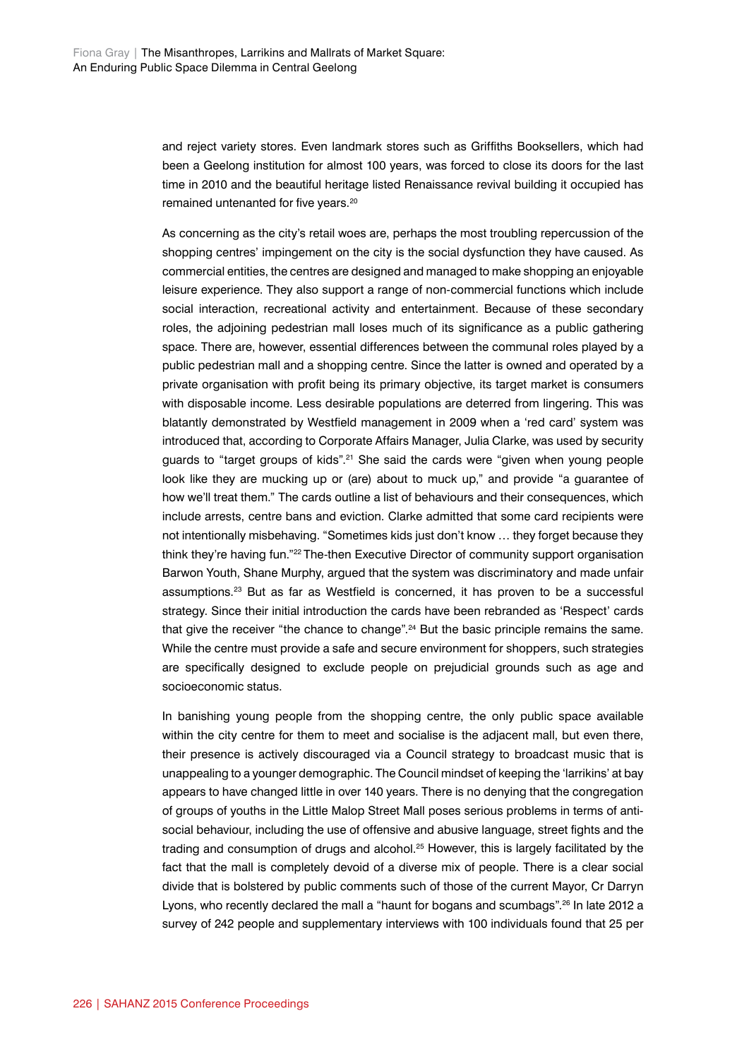and reject variety stores. Even landmark stores such as Griffiths Booksellers, which had been a Geelong institution for almost 100 years, was forced to close its doors for the last time in 2010 and the beautiful heritage listed Renaissance revival building it occupied has remained untenanted for five years.20

As concerning as the city's retail woes are, perhaps the most troubling repercussion of the shopping centres' impingement on the city is the social dysfunction they have caused. As commercial entities, the centres are designed and managed to make shopping an enjoyable leisure experience. They also support a range of non-commercial functions which include social interaction, recreational activity and entertainment. Because of these secondary roles, the adjoining pedestrian mall loses much of its significance as a public gathering space. There are, however, essential differences between the communal roles played by a public pedestrian mall and a shopping centre. Since the latter is owned and operated by a private organisation with profit being its primary objective, its target market is consumers with disposable income. Less desirable populations are deterred from lingering. This was blatantly demonstrated by Westfield management in 2009 when a 'red card' system was introduced that, according to Corporate Affairs Manager, Julia Clarke, was used by security guards to "target groups of kids".21 She said the cards were "given when young people look like they are mucking up or (are) about to muck up," and provide "a guarantee of how we'll treat them." The cards outline a list of behaviours and their consequences, which include arrests, centre bans and eviction. Clarke admitted that some card recipients were not intentionally misbehaving. "Sometimes kids just don't know … they forget because they think they're having fun."22 The-then Executive Director of community support organisation Barwon Youth, Shane Murphy, argued that the system was discriminatory and made unfair assumptions.23 But as far as Westfield is concerned, it has proven to be a successful strategy. Since their initial introduction the cards have been rebranded as 'Respect' cards that give the receiver "the chance to change".<sup>24</sup> But the basic principle remains the same. While the centre must provide a safe and secure environment for shoppers, such strategies are specifically designed to exclude people on prejudicial grounds such as age and socioeconomic status.

In banishing young people from the shopping centre, the only public space available within the city centre for them to meet and socialise is the adjacent mall, but even there, their presence is actively discouraged via a Council strategy to broadcast music that is unappealing to a younger demographic. The Council mindset of keeping the 'larrikins' at bay appears to have changed little in over 140 years. There is no denying that the congregation of groups of youths in the Little Malop Street Mall poses serious problems in terms of antisocial behaviour, including the use of offensive and abusive language, street fights and the trading and consumption of drugs and alcohol.<sup>25</sup> However, this is largely facilitated by the fact that the mall is completely devoid of a diverse mix of people. There is a clear social divide that is bolstered by public comments such of those of the current Mayor, Cr Darryn Lyons, who recently declared the mall a "haunt for bogans and scumbags".<sup>26</sup> In late 2012 a survey of 242 people and supplementary interviews with 100 individuals found that 25 per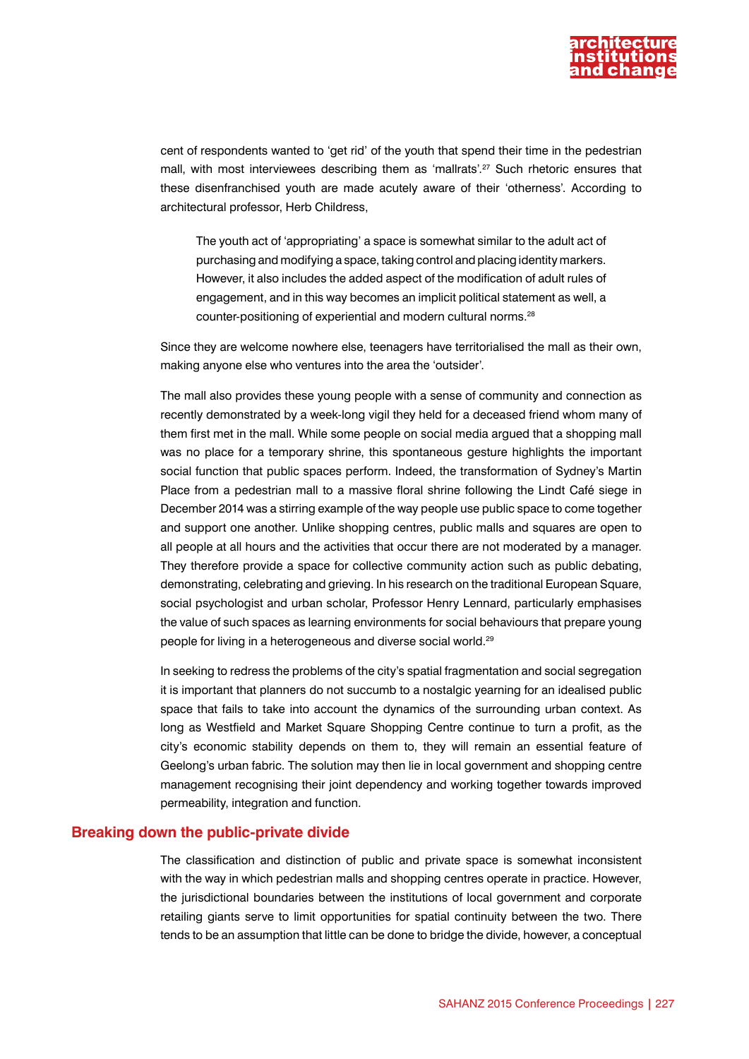

cent of respondents wanted to 'get rid' of the youth that spend their time in the pedestrian mall, with most interviewees describing them as 'mallrats'.27 Such rhetoric ensures that these disenfranchised youth are made acutely aware of their 'otherness'. According to architectural professor, Herb Childress,

The youth act of 'appropriating' a space is somewhat similar to the adult act of purchasing and modifying a space, taking control and placing identity markers. However, it also includes the added aspect of the modification of adult rules of engagement, and in this way becomes an implicit political statement as well, a counter-positioning of experiential and modern cultural norms.28

Since they are welcome nowhere else, teenagers have territorialised the mall as their own, making anyone else who ventures into the area the 'outsider'.

The mall also provides these young people with a sense of community and connection as recently demonstrated by a week-long vigil they held for a deceased friend whom many of them first met in the mall. While some people on social media argued that a shopping mall was no place for a temporary shrine, this spontaneous gesture highlights the important social function that public spaces perform. Indeed, the transformation of Sydney's Martin Place from a pedestrian mall to a massive floral shrine following the Lindt Café siege in December 2014 was a stirring example of the way people use public space to come together and support one another. Unlike shopping centres, public malls and squares are open to all people at all hours and the activities that occur there are not moderated by a manager. They therefore provide a space for collective community action such as public debating, demonstrating, celebrating and grieving. In his research on the traditional European Square, social psychologist and urban scholar, Professor Henry Lennard, particularly emphasises the value of such spaces as learning environments for social behaviours that prepare young people for living in a heterogeneous and diverse social world.29

In seeking to redress the problems of the city's spatial fragmentation and social segregation it is important that planners do not succumb to a nostalgic yearning for an idealised public space that fails to take into account the dynamics of the surrounding urban context. As long as Westfield and Market Square Shopping Centre continue to turn a profit, as the city's economic stability depends on them to, they will remain an essential feature of Geelong's urban fabric. The solution may then lie in local government and shopping centre management recognising their joint dependency and working together towards improved permeability, integration and function.

#### **Breaking down the public-private divide**

The classification and distinction of public and private space is somewhat inconsistent with the way in which pedestrian malls and shopping centres operate in practice. However, the jurisdictional boundaries between the institutions of local government and corporate retailing giants serve to limit opportunities for spatial continuity between the two. There tends to be an assumption that little can be done to bridge the divide, however, a conceptual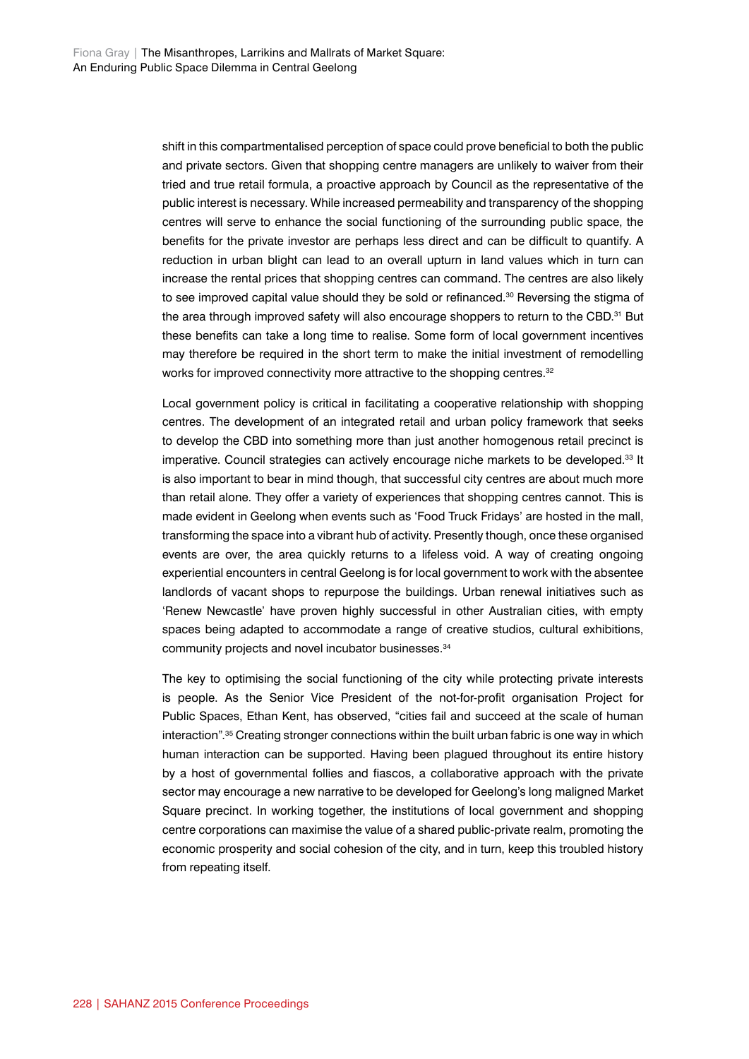shift in this compartmentalised perception of space could prove beneficial to both the public and private sectors. Given that shopping centre managers are unlikely to waiver from their tried and true retail formula, a proactive approach by Council as the representative of the public interest is necessary. While increased permeability and transparency of the shopping centres will serve to enhance the social functioning of the surrounding public space, the benefits for the private investor are perhaps less direct and can be difficult to quantify. A reduction in urban blight can lead to an overall upturn in land values which in turn can increase the rental prices that shopping centres can command. The centres are also likely to see improved capital value should they be sold or refinanced.<sup>30</sup> Reversing the stigma of the area through improved safety will also encourage shoppers to return to the CBD.<sup>31</sup> But these benefits can take a long time to realise. Some form of local government incentives may therefore be required in the short term to make the initial investment of remodelling works for improved connectivity more attractive to the shopping centres.<sup>32</sup>

Local government policy is critical in facilitating a cooperative relationship with shopping centres. The development of an integrated retail and urban policy framework that seeks to develop the CBD into something more than just another homogenous retail precinct is imperative. Council strategies can actively encourage niche markets to be developed.<sup>33</sup> It is also important to bear in mind though, that successful city centres are about much more than retail alone. They offer a variety of experiences that shopping centres cannot. This is made evident in Geelong when events such as 'Food Truck Fridays' are hosted in the mall, transforming the space into a vibrant hub of activity. Presently though, once these organised events are over, the area quickly returns to a lifeless void. A way of creating ongoing experiential encounters in central Geelong is for local government to work with the absentee landlords of vacant shops to repurpose the buildings. Urban renewal initiatives such as 'Renew Newcastle' have proven highly successful in other Australian cities, with empty spaces being adapted to accommodate a range of creative studios, cultural exhibitions, community projects and novel incubator businesses.34

The key to optimising the social functioning of the city while protecting private interests is people. As the Senior Vice President of the not-for-profit organisation Project for Public Spaces, Ethan Kent, has observed, "cities fail and succeed at the scale of human interaction".<sup>35</sup> Creating stronger connections within the built urban fabric is one way in which human interaction can be supported. Having been plagued throughout its entire history by a host of governmental follies and fiascos, a collaborative approach with the private sector may encourage a new narrative to be developed for Geelong's long maligned Market Square precinct. In working together, the institutions of local government and shopping centre corporations can maximise the value of a shared public-private realm, promoting the economic prosperity and social cohesion of the city, and in turn, keep this troubled history from repeating itself.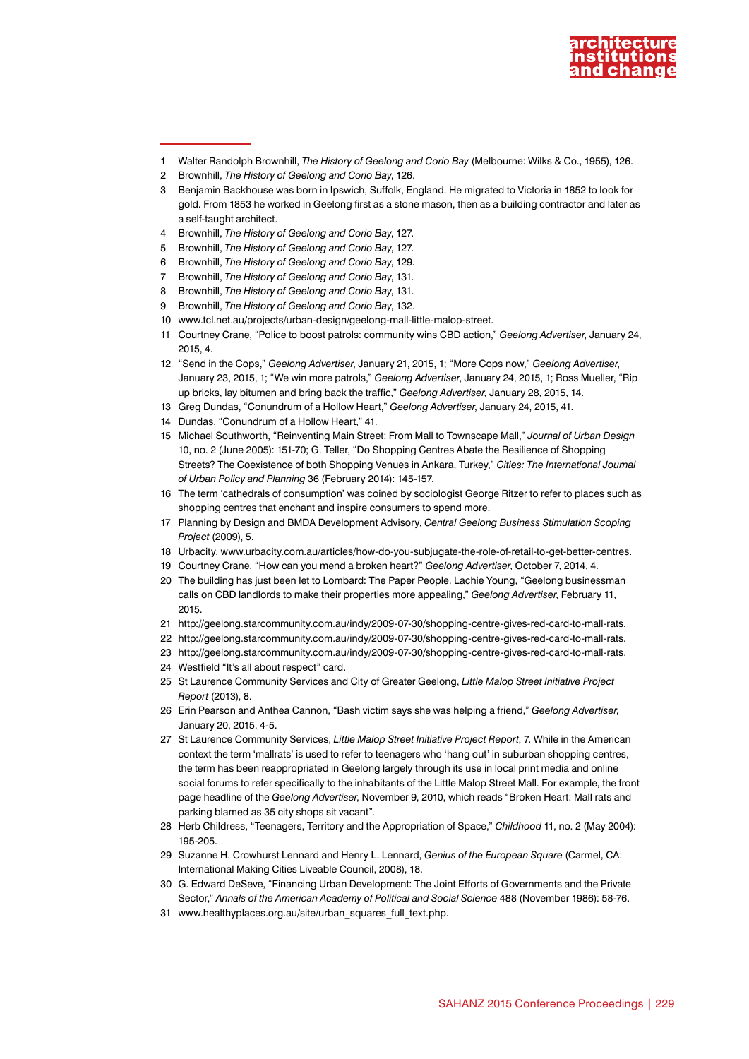

1 Walter Randolph Brownhill, *The History of Geelong and Corio Bay* (Melbourne: Wilks & Co., 1955), 126.

- 3 Benjamin Backhouse was born in Ipswich, Suffolk, England. He migrated to Victoria in 1852 to look for gold. From 1853 he worked in Geelong first as a stone mason, then as a building contractor and later as a self-taught architect.
- 4 Brownhill, *The History of Geelong and Corio Bay*, 127.
- 5 Brownhill, *The History of Geelong and Corio Bay*, 127.
- 6 Brownhill, *The History of Geelong and Corio Bay*, 129.
- 7 Brownhill, *The History of Geelong and Corio Bay*, 131.
- 8 Brownhill, *The History of Geelong and Corio Bay*, 131.
- 9 Brownhill, *The History of Geelong and Corio Bay*, 132.
- 10 [www.tcl.net.au/projects/urban-design/geelong-mall-little-malop-street](http://www.tcl.net.au/projects/urban-design/geelong-mall-little-malop-street).
- 11 Courtney Crane, "Police to boost patrols: community wins CBD action," *Geelong Advertiser*, January 24, 2015, 4.
- 12 "Send in the Cops," *Geelong Advertiser*, January 21, 2015, 1; "More Cops now," *Geelong Advertiser*, January 23, 2015, 1; "We win more patrols," *Geelong Advertiser*, January 24, 2015, 1; Ross Mueller, "Rip up bricks, lay bitumen and bring back the traffic," *Geelong Advertiser*, January 28, 2015, 14.
- 13 Greg Dundas, "Conundrum of a Hollow Heart," *Geelong Advertiser*, January 24, 2015, 41.
- 14 Dundas, "Conundrum of a Hollow Heart," 41.
- 15 Michael Southworth, "Reinventing Main Street: From Mall to Townscape Mall," *Journal of Urban Design* 10, no. 2 (June 2005): 151-70; G. Teller, "Do Shopping Centres Abate the Resilience of Shopping Streets? The Coexistence of both Shopping Venues in Ankara, Turkey," *Cities: The International Journal of Urban Policy and Planning* 36 (February 2014): 145-157.
- 16 The term 'cathedrals of consumption' was coined by sociologist George Ritzer to refer to places such as shopping centres that enchant and inspire consumers to spend more.
- 17 Planning by Design and BMDA Development Advisory, *Central Geelong Business Stimulation Scoping Project* (2009), 5.
- 18 Urbacity, [www.urbacity.com.au/articles/how-do-you-subjugate-the-role-of-retail-to-get-better-centres](http://www.urbacity.com.au/articles/how-do-you-subjugate-the-role-of-retail-to-get-better-centres).
- 19 Courtney Crane, "How can you mend a broken heart?" *Geelong Advertiser*, October 7, 2014, 4.
- 20 The building has just been let to Lombard: The Paper People. Lachie Young, "Geelong businessman calls on CBD landlords to make their properties more appealing," *Geelong Advertiser*, February 11, 2015.
- 21 [http://geelong.starcommunity.com.au/indy/2009-07-30/shopping-centre-gives-red-card-to-mall-rats.](http://geelong.starcommunity.com.au/indy/2009-07-30/shopping-centre-gives-red-card-to-mall-rats)
- 22 [http://geelong.starcommunity.com.au/indy/2009-07-30/shopping-centre-gives-red-card-to-mall-rats.](http://geelong.starcommunity.com.au/indy/2009-07-30/shopping-centre-gives-red-card-to-mall-rats)
- 23 [http://geelong.starcommunity.com.au/indy/2009-07-30/shopping-centre-gives-red-card-to-mall-rats.](http://geelong.starcommunity.com.au/indy/2009-07-30/shopping-centre-gives-red-card-to-mall-rats) 24 Westfield "It's all about respect" card.
- 25 St Laurence Community Services and City of Greater Geelong, *Little Malop Street Initiative Project Report* (2013), 8.
- 26 Erin Pearson and Anthea Cannon, "Bash victim says she was helping a friend," *Geelong Advertiser*, January 20, 2015, 4-5.
- 27 St Laurence Community Services, *Little Malop Street Initiative Project Report*, 7. While in the American context the term 'mallrats' is used to refer to teenagers who 'hang out' in suburban shopping centres, the term has been reappropriated in Geelong largely through its use in local print media and online social forums to refer specifically to the inhabitants of the Little Malop Street Mall. For example, the front page headline of the *Geelong Advertiser*, November 9, 2010, which reads "Broken Heart: Mall rats and parking blamed as 35 city shops sit vacant".
- 28 Herb Childress, "Teenagers, Territory and the Appropriation of Space," *Childhood* 11, no. 2 (May 2004): 195-205.
- 29 Suzanne H. Crowhurst Lennard and Henry L. Lennard, *Genius of the European Square* (Carmel, CA: International Making Cities Liveable Council, 2008), 18.
- 30 G. Edward DeSeve, "Financing Urban Development: The Joint Efforts of Governments and the Private Sector," *Annals of the American Academy of Political and Social Science* 488 (November 1986): 58-76.
- 31 www.healthyplaces.org.au/site/urban\_squares\_full\_text.php.

<sup>2</sup> Brownhill, *The History of Geelong and Corio Bay*, 126.